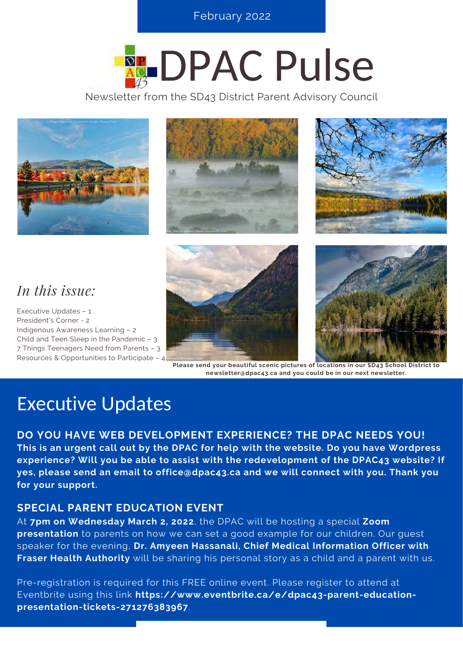**S E P T E M B E R 2 0 2 0 , I S S U E 3 O N L I N E T R E N D S** February 2022

# **REDPAC Pulse**

Newsletter from the SD43 District Parent Advisory Council







### *In this issue:*

Executive Updates – 1 President's Corner - 2 Indigenous Awareness Learning – 2 Child and Teen Sleep in the Pandemic – 3 7 Things Teenagers Need from Parents – 3 Resources & Opportunities to Participate – 4





**Please send your beautiful scenic pictures of locations in our SD43 School District to newsletter@dpac43.ca and you could be in our next newsletter.**

### Executive Updates

**DO YOU HAVE WEB DEVELOPMENT EXPERIENCE? THE DPAC NEEDS YOU! This is an urgent call out by the DPAC for help with the website. Do you have Wordpress experience? Will you be able to assist with the redevelopment of the DPAC43 website? If yes, please send an email to office@dpac43.ca and we will connect with you. Thank you for your support.**

### **SPECIAL PARENT EDUCATION EVENT**

At **7pm on Wednesday March 2, 2022**, the DPAC will be hosting a special **Zoom presentation** to parents on how we can set a good example for our children. Our guest speaker for the evening, **Dr. Amyeen Hassanali, Chief Medical Information Officer with Fraser Health Authority** will be sharing his personal story as a child and a parent with us.

[Pre-registration is required for this FREE online event. Please register to attend at](https://www.eventbrite.ca/e/dpac43-parent-education-presentation-tickets-271276383967) Eventbrite using this link **[https://www.eventbrite.ca/e/dpac43-parent-education](https://www.eventbrite.ca/e/dpac43-parent-education-presentation-tickets-271276383967)presentation-tickets-271276383967**.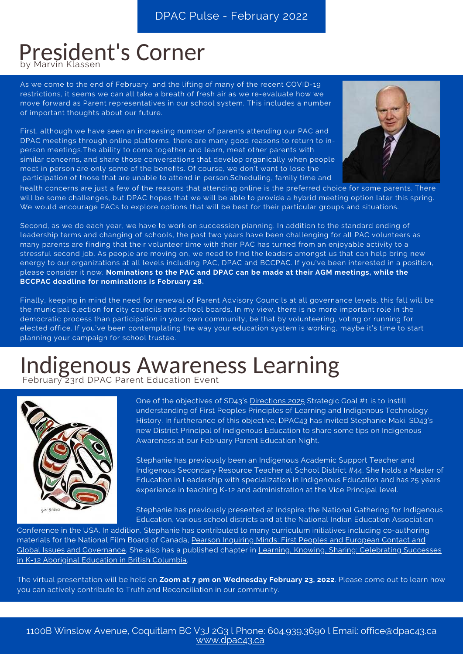### President's Corner by Marvin Klasser

As we come to the end of February, and the lifting of many of the recent COVID-19 restrictions, it seems we can all take a breath of fresh air as we re-evaluate how we move forward as Parent representatives in our school system. This includes a number of important thoughts about our future.

First, although we have seen an increasing number of parents attending our PAC and DPAC meetings through online platforms, there are many good reasons to return to inperson meetings.The ability to come together and learn, meet other parents with similar concerns, and share those conversations that develop organically when people meet in person are only some of the benefits. Of course, we don't want to lose the participation of those that are unable to attend in person.Scheduling, family time and



health concerns are just a few of the reasons that attending online is the preferred choice for some parents. There will be some challenges, but DPAC hopes that we will be able to provide a hybrid meeting option later this spring. We would encourage PACs to explore options that will be best for their particular groups and situations.

Second, as we do each year, we have to work on succession planning. In addition to the standard ending of leadership terms and changing of schools, the past two years have been challenging for all PAC volunteers as many parents are finding that their volunteer time with their PAC has turned from an enjoyable activity to a stressful second job. As people are moving on, we need to find the leaders amongst us that can help bring new energy to our organizations at all levels including PAC, DPAC and BCCPAC. If you've been interested in a position, please consider it now. **Nominations to the PAC and DPAC can be made at their AGM meetings, while the BCCPAC deadline for nominations is February 28.**

Finally, keeping in mind the need for renewal of Parent Advisory Councils at all governance levels, this fall will be the municipal election for city councils and school boards. In my view, there is no more important role in the democratic process than participation in your own community, be that by volunteering, voting or running for elected office. If you've been contemplating the way your education system is working, maybe it's time to start planning your campaign for school trustee.

### Indigenous Awareness Learning February 23rd DPAC Parent Education Event



One of the objectives of SD43's [Directions 2025](https://www.sd43.bc.ca/Board/Vision/Documents/Directions2025.pdf) Strategic Goal #1 is to instill understanding of First Peoples Principles of Learning and Indigenous Technology History. In furtherance of this objective, DPAC43 has invited Stephanie Maki, SD43's new District Principal of Indigenous Education to share some tips on Indigenous Awareness at our February Parent Education Night.

Stephanie has previously been an Indigenous Academic Support Teacher and Indigenous Secondary Resource Teacher at School District #44. She holds a Master of Education in Leadership with specialization in Indigenous Education and has 25 years experience in teaching K-12 and administration at the Vice Principal level.

Stephanie has previously presented at Indspire: the National Gathering for Indigenous Education, various school districts and at the National Indian Education Association

Conference in the USA. In addition, Stephanie has contributed to many curriculum initiatives including co-authoring [materials for the National Film Board of Canada, Pearson Inquiring Minds: First Peoples and European Contact and](http://www.pearsoncanada.ca/school/inquiringminds/index.html) [Global Issues and Governance. She also has a published chapter in Learning, Knowing, Sharing: Celebrating Successes](https://educ.ubc.ca/learning-knowing-sharing-celebrating-successes-in-k-12-aboriginal-education-in-british-columbia/) in K-12 Aboriginal Education in British Columbia.

The virtual presentation will be held on **Zoom at 7 pm on Wednesday February 23, 2022**. Please come out to learn how you can actively contribute to Truth and Reconciliation in our community.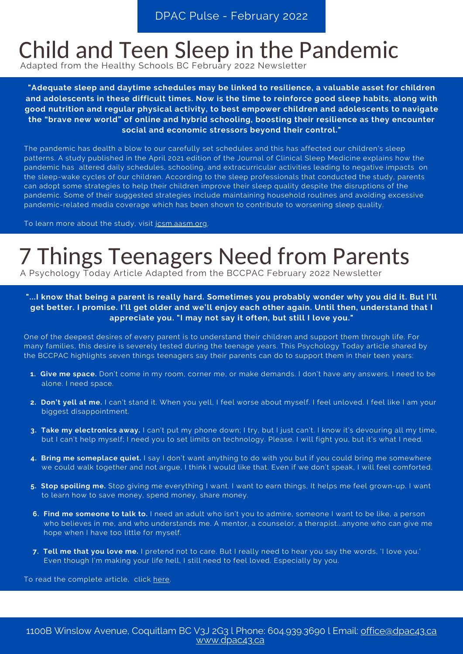### Child and Teen Sleep in the Pandemic

Adapted from the Healthy Schools BC February 2022 Newsletter

**"Adequate sleep and daytime schedules may be linked to resilience, a valuable asset for children and adolescents in these difficult times. Now is the time to reinforce good sleep habits, along with good nutrition and regular physical activity, to best empower children and adolescents to navigate the "brave new world" of online and hybrid schooling, boosting their resilience as they encounter social and economic stressors beyond their control."**

The pandemic has dealth a blow to our carefully set schedules and this has affected our children's sleep patterns. A study published in the April 2021 edition of the Journal of Clinical Sleep Medicine explains how the pandemic has altered daily schedules, schooling, and extracurricular activities leading to negative impacts on the sleep-wake cycles of our children. According to the sleep professionals that conducted the study, parents can adopt some strategies to help their children improve their sleep quality despite the disruptions of the pandemic. Some of their suggested strategies include maintaining household routines and avoiding excessive pandemic-related media coverage which has been shown to contribute to worsening sleep quality.

To learn more about the study, visit [jcsm.aasm.org.](https://jcsm.aasm.org/doi/full/10.5664/jcsm.9122)

# 7 Things Teenagers Need from Parents

A Psychology Today Article Adapted from the BCCPAC February 2022 Newsletter

#### **"...I know that being a parent is really hard. Sometimes you probably wonder why you did it. But I'll get better. I promise. I'll get older and we'll enjoy each other again. Until then, understand that I appreciate you. "I may not say it often, but still I love you."**

One of the deepest desires of every parent is to understand their children and support them through life. For many families, this desire is severely tested during the teenage years. This Psychology Today article shared by the BCCPAC highlights seven things teenagers say their parents can do to support them in their teen years:

- **1. Give me space.** Don't come in my room, corner me, or make demands. I don't have any answers. I need to be alone. I need space.
- **2. Don't yell at me.** I can't stand it. When you yell, I feel worse about myself. I feel unloved. I feel like I am your biggest disappointment.
- **3. Take my electronics away.** I can't put my phone down; I try, but I just can't. I know it's devouring all my time, but I can't help myself; I need you to set limits on technology. Please. I will fight you, but it's what I need.
- **4. Bring me someplace quiet.** I say I don't want anything to do with you but if you could bring me somewhere we could walk together and not argue, I think I would like that. Even if we don't speak, I will feel comforted.
- **5. Stop spoiling me.** Stop giving me everything I want. I want to earn things, It helps me feel grown-up. I want to learn how to save money, spend money, share money.
- **6. Find me someone to talk to.** I need an adult who isn't you to admire, someone I want to be like, a person who believes in me, and who understands me. A mentor, a counselor, [a therapist.](https://www.psychologytoday.com/us/therapists?search=)..anyone who can give me hope when I have too little for myself.
- **7. Tell me that you love me.** I pretend not to care. But I really need to hear you say the words, 'I love you.' Even though I'm making your life hell, I still need to feel loved. Especially by you.

To read the complete article, click [here.](https://www.psychologytoday.com/us/blog/when-kids-call-the-shots/201801/7-things-teenagers-desperately-need-adults-understand?fbclid=IwAR26lpJUAgjHwMX1aentz-FiM-nDZ73yCexf5EJGuVtwiQu9IHiRPoo3WIM)